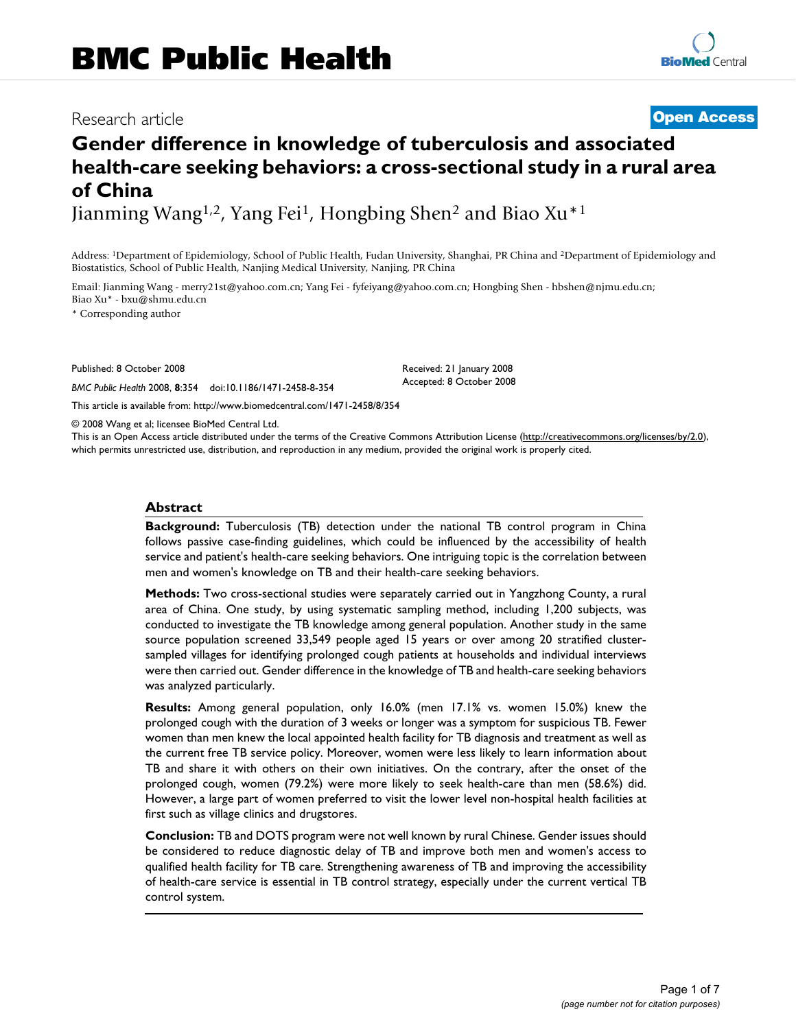# Research article **[Open Access](http://www.biomedcentral.com/info/about/charter/)**

# **Gender difference in knowledge of tuberculosis and associated health-care seeking behaviors: a cross-sectional study in a rural area of China**

Jianming Wang1,2, Yang Fei1, Hongbing Shen2 and Biao Xu\*1

Address: 1Department of Epidemiology, School of Public Health, Fudan University, Shanghai, PR China and 2Department of Epidemiology and Biostatistics, School of Public Health, Nanjing Medical University, Nanjing, PR China

Email: Jianming Wang - merry21st@yahoo.com.cn; Yang Fei - fyfeiyang@yahoo.com.cn; Hongbing Shen - hbshen@njmu.edu.cn; Biao Xu\* - bxu@shmu.edu.cn

\* Corresponding author

Published: 8 October 2008

*BMC Public Health* 2008, **8**:354 doi:10.1186/1471-2458-8-354

[This article is available from: http://www.biomedcentral.com/1471-2458/8/354](http://www.biomedcentral.com/1471-2458/8/354)

© 2008 Wang et al; licensee BioMed Central Ltd.

This is an Open Access article distributed under the terms of the Creative Commons Attribution License [\(http://creativecommons.org/licenses/by/2.0\)](http://creativecommons.org/licenses/by/2.0), which permits unrestricted use, distribution, and reproduction in any medium, provided the original work is properly cited.

Received: 21 January 2008 Accepted: 8 October 2008

#### **Abstract**

**Background:** Tuberculosis (TB) detection under the national TB control program in China follows passive case-finding guidelines, which could be influenced by the accessibility of health service and patient's health-care seeking behaviors. One intriguing topic is the correlation between men and women's knowledge on TB and their health-care seeking behaviors.

**Methods:** Two cross-sectional studies were separately carried out in Yangzhong County, a rural area of China. One study, by using systematic sampling method, including 1,200 subjects, was conducted to investigate the TB knowledge among general population. Another study in the same source population screened 33,549 people aged 15 years or over among 20 stratified clustersampled villages for identifying prolonged cough patients at households and individual interviews were then carried out. Gender difference in the knowledge of TB and health-care seeking behaviors was analyzed particularly.

**Results:** Among general population, only 16.0% (men 17.1% vs. women 15.0%) knew the prolonged cough with the duration of 3 weeks or longer was a symptom for suspicious TB. Fewer women than men knew the local appointed health facility for TB diagnosis and treatment as well as the current free TB service policy. Moreover, women were less likely to learn information about TB and share it with others on their own initiatives. On the contrary, after the onset of the prolonged cough, women (79.2%) were more likely to seek health-care than men (58.6%) did. However, a large part of women preferred to visit the lower level non-hospital health facilities at first such as village clinics and drugstores.

**Conclusion:** TB and DOTS program were not well known by rural Chinese. Gender issues should be considered to reduce diagnostic delay of TB and improve both men and women's access to qualified health facility for TB care. Strengthening awareness of TB and improving the accessibility of health-care service is essential in TB control strategy, especially under the current vertical TB control system.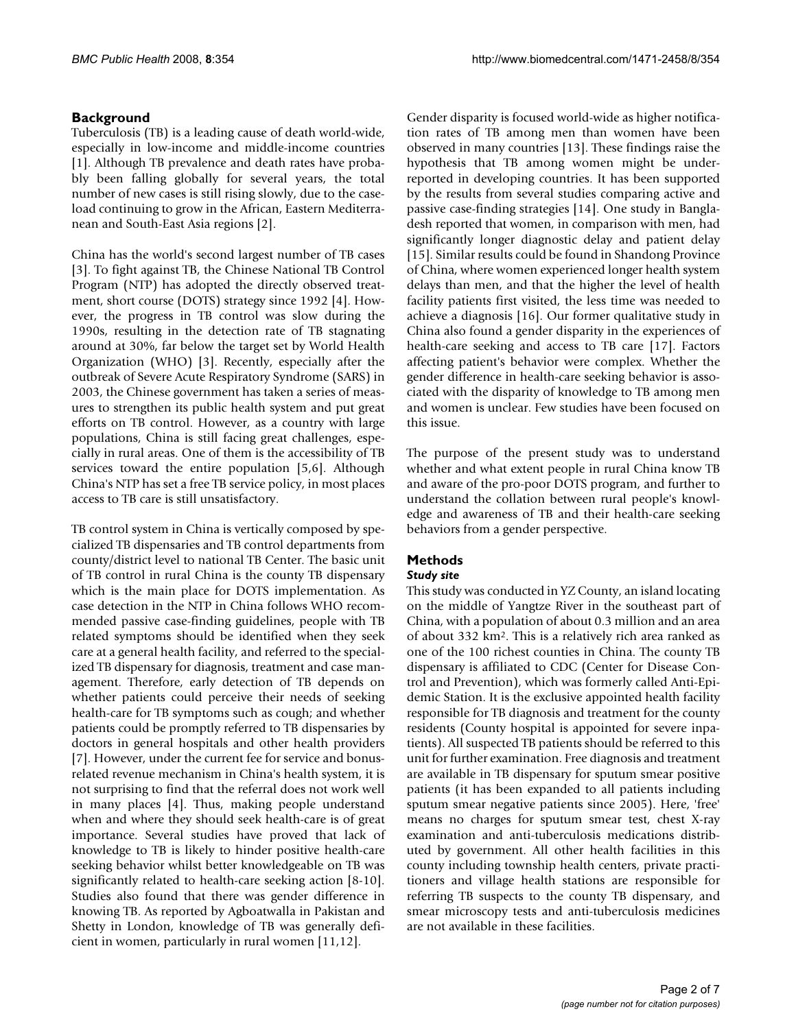# **Background**

Tuberculosis (TB) is a leading cause of death world-wide, especially in low-income and middle-income countries [1]. Although TB prevalence and death rates have probably been falling globally for several years, the total number of new cases is still rising slowly, due to the caseload continuing to grow in the African, Eastern Mediterranean and South-East Asia regions [2].

China has the world's second largest number of TB cases [3]. To fight against TB, the Chinese National TB Control Program (NTP) has adopted the directly observed treatment, short course (DOTS) strategy since 1992 [4]. However, the progress in TB control was slow during the 1990s, resulting in the detection rate of TB stagnating around at 30%, far below the target set by World Health Organization (WHO) [3]. Recently, especially after the outbreak of Severe Acute Respiratory Syndrome (SARS) in 2003, the Chinese government has taken a series of measures to strengthen its public health system and put great efforts on TB control. However, as a country with large populations, China is still facing great challenges, especially in rural areas. One of them is the accessibility of TB services toward the entire population [5,6]. Although China's NTP has set a free TB service policy, in most places access to TB care is still unsatisfactory.

TB control system in China is vertically composed by specialized TB dispensaries and TB control departments from county/district level to national TB Center. The basic unit of TB control in rural China is the county TB dispensary which is the main place for DOTS implementation. As case detection in the NTP in China follows WHO recommended passive case-finding guidelines, people with TB related symptoms should be identified when they seek care at a general health facility, and referred to the specialized TB dispensary for diagnosis, treatment and case management. Therefore, early detection of TB depends on whether patients could perceive their needs of seeking health-care for TB symptoms such as cough; and whether patients could be promptly referred to TB dispensaries by doctors in general hospitals and other health providers [7]. However, under the current fee for service and bonusrelated revenue mechanism in China's health system, it is not surprising to find that the referral does not work well in many places [4]. Thus, making people understand when and where they should seek health-care is of great importance. Several studies have proved that lack of knowledge to TB is likely to hinder positive health-care seeking behavior whilst better knowledgeable on TB was significantly related to health-care seeking action [8-10]. Studies also found that there was gender difference in knowing TB. As reported by Agboatwalla in Pakistan and Shetty in London, knowledge of TB was generally deficient in women, particularly in rural women [11,12].

Gender disparity is focused world-wide as higher notification rates of TB among men than women have been observed in many countries [13]. These findings raise the hypothesis that TB among women might be underreported in developing countries. It has been supported by the results from several studies comparing active and passive case-finding strategies [14]. One study in Bangladesh reported that women, in comparison with men, had significantly longer diagnostic delay and patient delay [15]. Similar results could be found in Shandong Province of China, where women experienced longer health system delays than men, and that the higher the level of health facility patients first visited, the less time was needed to achieve a diagnosis [16]. Our former qualitative study in China also found a gender disparity in the experiences of health-care seeking and access to TB care [17]. Factors affecting patient's behavior were complex. Whether the gender difference in health-care seeking behavior is associated with the disparity of knowledge to TB among men and women is unclear. Few studies have been focused on this issue.

The purpose of the present study was to understand whether and what extent people in rural China know TB and aware of the pro-poor DOTS program, and further to understand the collation between rural people's knowledge and awareness of TB and their health-care seeking behaviors from a gender perspective.

# **Methods**

# *Study site*

This study was conducted in YZ County, an island locating on the middle of Yangtze River in the southeast part of China, with a population of about 0.3 million and an area of about 332 km2. This is a relatively rich area ranked as one of the 100 richest counties in China. The county TB dispensary is affiliated to CDC (Center for Disease Control and Prevention), which was formerly called Anti-Epidemic Station. It is the exclusive appointed health facility responsible for TB diagnosis and treatment for the county residents (County hospital is appointed for severe inpatients). All suspected TB patients should be referred to this unit for further examination. Free diagnosis and treatment are available in TB dispensary for sputum smear positive patients (it has been expanded to all patients including sputum smear negative patients since 2005). Here, 'free' means no charges for sputum smear test, chest X-ray examination and anti-tuberculosis medications distributed by government. All other health facilities in this county including township health centers, private practitioners and village health stations are responsible for referring TB suspects to the county TB dispensary, and smear microscopy tests and anti-tuberculosis medicines are not available in these facilities.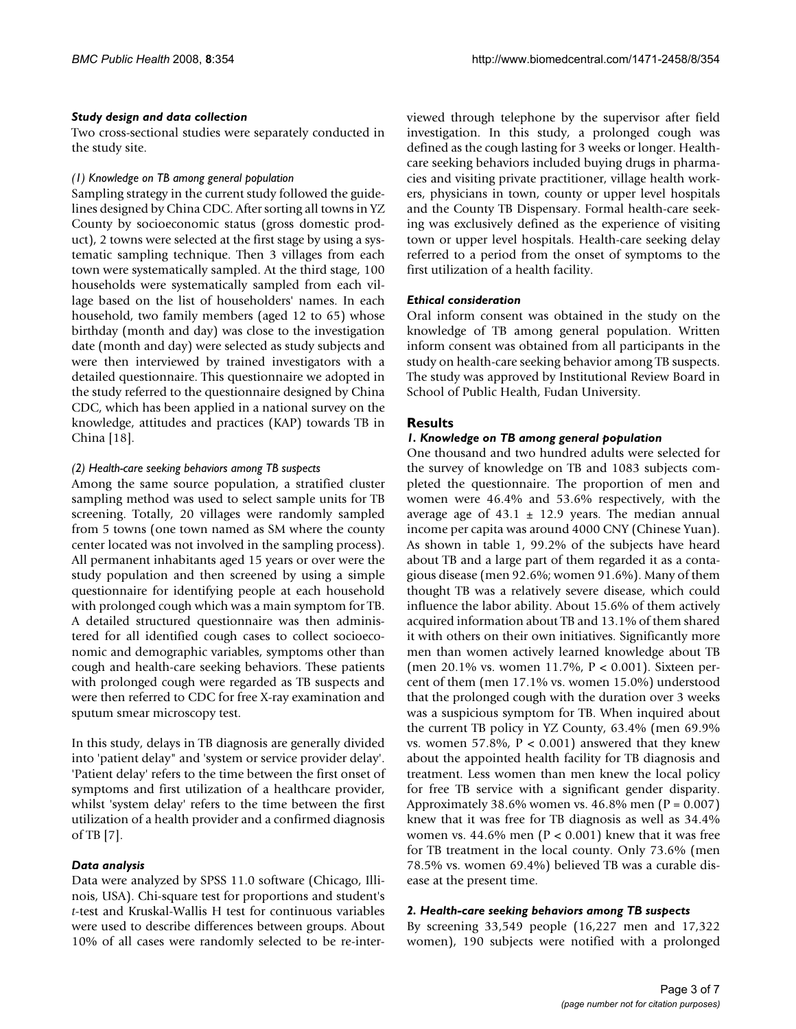#### *Study design and data collection*

Two cross-sectional studies were separately conducted in the study site.

#### *(1) Knowledge on TB among general population*

Sampling strategy in the current study followed the guidelines designed by China CDC. After sorting all towns in YZ County by socioeconomic status (gross domestic product), 2 towns were selected at the first stage by using a systematic sampling technique. Then 3 villages from each town were systematically sampled. At the third stage, 100 households were systematically sampled from each village based on the list of householders' names. In each household, two family members (aged 12 to 65) whose birthday (month and day) was close to the investigation date (month and day) were selected as study subjects and were then interviewed by trained investigators with a detailed questionnaire. This questionnaire we adopted in the study referred to the questionnaire designed by China CDC, which has been applied in a national survey on the knowledge, attitudes and practices (KAP) towards TB in China [18].

# *(2) Health-care seeking behaviors among TB suspects*

Among the same source population, a stratified cluster sampling method was used to select sample units for TB screening. Totally, 20 villages were randomly sampled from 5 towns (one town named as SM where the county center located was not involved in the sampling process). All permanent inhabitants aged 15 years or over were the study population and then screened by using a simple questionnaire for identifying people at each household with prolonged cough which was a main symptom for TB. A detailed structured questionnaire was then administered for all identified cough cases to collect socioeconomic and demographic variables, symptoms other than cough and health-care seeking behaviors. These patients with prolonged cough were regarded as TB suspects and were then referred to CDC for free X-ray examination and sputum smear microscopy test.

In this study, delays in TB diagnosis are generally divided into 'patient delay" and 'system or service provider delay'. 'Patient delay' refers to the time between the first onset of symptoms and first utilization of a healthcare provider, whilst 'system delay' refers to the time between the first utilization of a health provider and a confirmed diagnosis of TB [7].

# *Data analysis*

Data were analyzed by SPSS 11.0 software (Chicago, Illinois, USA). Chi-square test for proportions and student's *t*-test and Kruskal-Wallis H test for continuous variables were used to describe differences between groups. About 10% of all cases were randomly selected to be re-interviewed through telephone by the supervisor after field investigation. In this study, a prolonged cough was defined as the cough lasting for 3 weeks or longer. Healthcare seeking behaviors included buying drugs in pharmacies and visiting private practitioner, village health workers, physicians in town, county or upper level hospitals and the County TB Dispensary. Formal health-care seeking was exclusively defined as the experience of visiting town or upper level hospitals. Health-care seeking delay referred to a period from the onset of symptoms to the first utilization of a health facility.

# *Ethical consideration*

Oral inform consent was obtained in the study on the knowledge of TB among general population. Written inform consent was obtained from all participants in the study on health-care seeking behavior among TB suspects. The study was approved by Institutional Review Board in School of Public Health, Fudan University.

# **Results**

# *1. Knowledge on TB among general population*

One thousand and two hundred adults were selected for the survey of knowledge on TB and 1083 subjects completed the questionnaire. The proportion of men and women were 46.4% and 53.6% respectively, with the average age of  $43.1 \pm 12.9$  years. The median annual income per capita was around 4000 CNY (Chinese Yuan). As shown in table 1, 99.2% of the subjects have heard about TB and a large part of them regarded it as a contagious disease (men 92.6%; women 91.6%). Many of them thought TB was a relatively severe disease, which could influence the labor ability. About 15.6% of them actively acquired information about TB and 13.1% of them shared it with others on their own initiatives. Significantly more men than women actively learned knowledge about TB (men 20.1% vs. women 11.7%, P < 0.001). Sixteen percent of them (men 17.1% vs. women 15.0%) understood that the prolonged cough with the duration over 3 weeks was a suspicious symptom for TB. When inquired about the current TB policy in YZ County, 63.4% (men 69.9% vs. women 57.8%,  $P < 0.001$ ) answered that they knew about the appointed health facility for TB diagnosis and treatment. Less women than men knew the local policy for free TB service with a significant gender disparity. Approximately 38.6% women vs. 46.8% men ( $P = 0.007$ ) knew that it was free for TB diagnosis as well as 34.4% women vs. 44.6% men ( $P < 0.001$ ) knew that it was free for TB treatment in the local county. Only 73.6% (men 78.5% vs. women 69.4%) believed TB was a curable disease at the present time.

# *2. Health-care seeking behaviors among TB suspects*

By screening 33,549 people (16,227 men and 17,322 women), 190 subjects were notified with a prolonged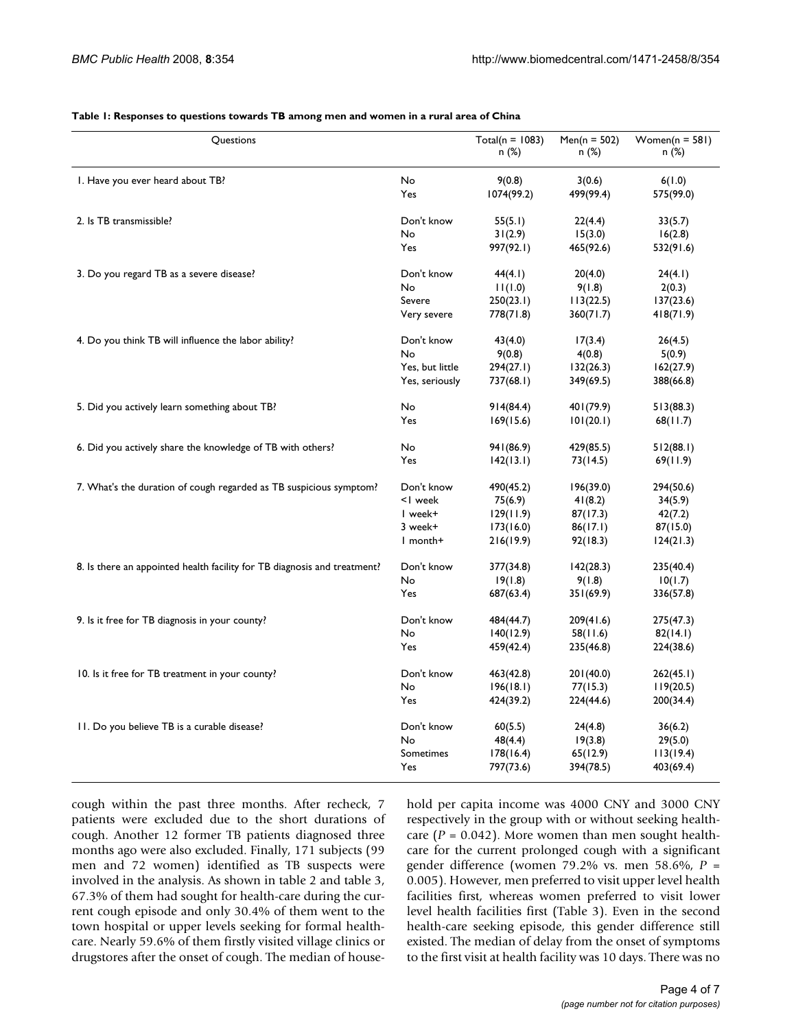| Questions                                                                |                 | Total( $n = 1083$ )<br>n (%) | Men( $n = 502$ )<br>n (%) | Women( $n = 581$ )<br>n (%) |
|--------------------------------------------------------------------------|-----------------|------------------------------|---------------------------|-----------------------------|
| I. Have you ever heard about TB?                                         | No              | 9(0.8)                       | 3(0.6)                    | 6(1.0)                      |
|                                                                          | Yes             | 1074(99.2)                   | 499(99.4)                 | 575(99.0)                   |
| 2. Is TB transmissible?                                                  | Don't know      | 55(5.1)                      | 22(4.4)                   | 33(5.7)                     |
|                                                                          | No              | 31(2.9)                      | 15(3.0)                   | 16(2.8)                     |
|                                                                          | Yes             | 997(92.1)                    | 465(92.6)                 | 532(91.6)                   |
| 3. Do you regard TB as a severe disease?                                 | Don't know      | 44(4.1)                      | 20(4.0)                   | 24(4.1)                     |
|                                                                          | No              | 11(1.0)                      | 9(1.8)                    | 2(0.3)                      |
|                                                                          | Severe          | 250(23.1)                    | 113(22.5)                 | 137(23.6)                   |
|                                                                          | Very severe     | 778(71.8)                    | 360(71.7)                 | 418(71.9)                   |
| 4. Do you think TB will influence the labor ability?                     | Don't know      | 43(4.0)                      | 17(3.4)                   | 26(4.5)                     |
|                                                                          | No              | 9(0.8)                       | 4(0.8)                    | 5(0.9)                      |
|                                                                          | Yes, but little | 294(27.1)                    | 132(26.3)                 | 162(27.9)                   |
|                                                                          | Yes, seriously  | 737(68.1)                    | 349(69.5)                 | 388(66.8)                   |
| 5. Did you actively learn something about TB?                            | No              | 914(84.4)                    | 401(79.9)                 | 513(88.3)                   |
|                                                                          | Yes             | 169(15.6)                    | 101(20.1)                 | 68(11.7)                    |
| 6. Did you actively share the knowledge of TB with others?               | No              | 941 (86.9)                   | 429(85.5)                 | 512(88.1)                   |
|                                                                          | Yes             | 142(13.1)                    | 73(14.5)                  | 69(11.9)                    |
| 7. What's the duration of cough regarded as TB suspicious symptom?       | Don't know      | 490(45.2)                    | 196(39.0)                 | 294(50.6)                   |
|                                                                          | <1 week         | 75(6.9)                      | 41(8.2)                   | 34(5.9)                     |
|                                                                          | I week+         | 129(11.9)                    | 87(17.3)                  | 42(7.2)                     |
|                                                                          | 3 week+         | 173(16.0)                    | 86(17.1)                  | 87(15.0)                    |
|                                                                          | I month+        | 216(19.9)                    | 92(18.3)                  | 124(21.3)                   |
| 8. Is there an appointed health facility for TB diagnosis and treatment? | Don't know      | 377(34.8)                    | 142(28.3)                 | 235(40.4)                   |
|                                                                          | No              | 19(1.8)                      | 9(1.8)                    | 10(1.7)                     |
|                                                                          | Yes             | 687(63.4)                    | 351(69.9)                 | 336(57.8)                   |
| 9. Is it free for TB diagnosis in your county?                           | Don't know      | 484(44.7)                    | 209(41.6)                 | 275(47.3)                   |
|                                                                          | No              | 140(12.9)                    | 58(11.6)                  | 82(14.1)                    |
|                                                                          | Yes             | 459(42.4)                    | 235(46.8)                 | 224(38.6)                   |
| 10. Is it free for TB treatment in your county?                          | Don't know      | 463(42.8)                    | 201(40.0)                 | 262(45.1)                   |
|                                                                          | No              | 196(18.1)                    | 77(15.3)                  | 119(20.5)                   |
|                                                                          | Yes             | 424(39.2)                    | 224(44.6)                 | 200(34.4)                   |
| 11. Do you believe TB is a curable disease?                              | Don't know      | 60(5.5)                      | 24(4.8)                   | 36(6.2)                     |
|                                                                          | No              | 48(4.4)                      | 19(3.8)                   | 29(5.0)                     |
|                                                                          | Sometimes       | 178(16.4)                    | 65(12.9)                  | 113(19.4)                   |
|                                                                          | Yes             | 797(73.6)                    | 394(78.5)                 | 403(69.4)                   |
|                                                                          |                 |                              |                           |                             |

**Table 1: Responses to questions towards TB among men and women in a rural area of China**

cough within the past three months. After recheck, 7 patients were excluded due to the short durations of cough. Another 12 former TB patients diagnosed three months ago were also excluded. Finally, 171 subjects (99 men and 72 women) identified as TB suspects were involved in the analysis. As shown in table 2 and table 3, 67.3% of them had sought for health-care during the current cough episode and only 30.4% of them went to the town hospital or upper levels seeking for formal healthcare. Nearly 59.6% of them firstly visited village clinics or drugstores after the onset of cough. The median of household per capita income was 4000 CNY and 3000 CNY respectively in the group with or without seeking healthcare  $(P = 0.042)$ . More women than men sought healthcare for the current prolonged cough with a significant gender difference (women 79.2% vs. men 58.6%, *P* = 0.005). However, men preferred to visit upper level health facilities first, whereas women preferred to visit lower level health facilities first (Table 3). Even in the second health-care seeking episode, this gender difference still existed. The median of delay from the onset of symptoms to the first visit at health facility was 10 days. There was no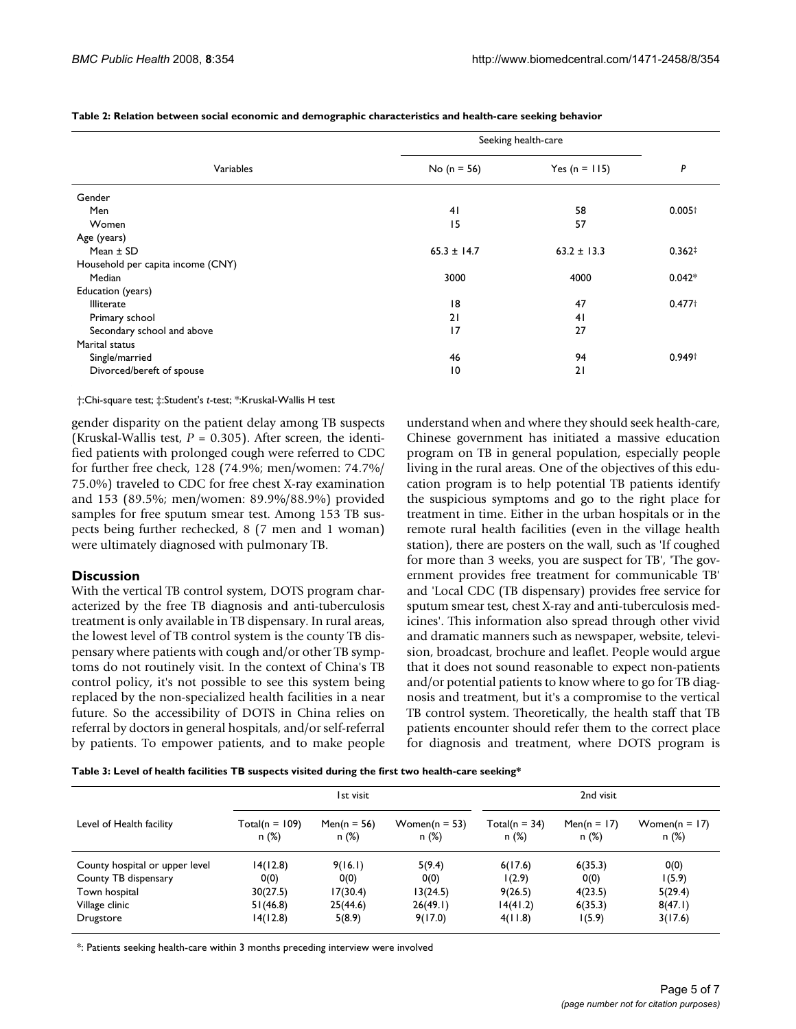|                                   |                 | Seeking health-care |                      |  |
|-----------------------------------|-----------------|---------------------|----------------------|--|
| Variables                         | No ( $n = 56$ ) | Yes ( $n = 115$ )   | P                    |  |
| Gender                            |                 |                     |                      |  |
| Men                               | 41              | 58                  | 0.005 <sup>†</sup>   |  |
| Women                             | 15              | 57                  |                      |  |
| Age (years)                       |                 |                     |                      |  |
| Mean $\pm$ SD                     | $65.3 \pm 14.7$ | $63.2 \pm 13.3$     | 0.362 <sup>‡</sup>   |  |
| Household per capita income (CNY) |                 |                     |                      |  |
| Median                            | 3000            | 4000                | $0.042*$             |  |
| Education (years)                 |                 |                     |                      |  |
| Illiterate                        | 18              | 47                  | $0.477$ <sup>+</sup> |  |
| Primary school                    | 21              | 41                  |                      |  |
| Secondary school and above        | 17              | 27                  |                      |  |
| Marital status                    |                 |                     |                      |  |
| Single/married                    | 46              | 94                  | 0.949 <sup>+</sup>   |  |
| Divorced/bereft of spouse         | $\overline{10}$ | 21                  |                      |  |

**Table 2: Relation between social economic and demographic characteristics and health-care seeking behavior**

†:Chi-square test; ‡:Student's *t*-test; \*:Kruskal-Wallis H test

gender disparity on the patient delay among TB suspects (Kruskal-Wallis test,  $P = 0.305$ ). After screen, the identified patients with prolonged cough were referred to CDC for further free check, 128 (74.9%; men/women: 74.7%/ 75.0%) traveled to CDC for free chest X-ray examination and 153 (89.5%; men/women: 89.9%/88.9%) provided samples for free sputum smear test. Among 153 TB suspects being further rechecked, 8 (7 men and 1 woman) were ultimately diagnosed with pulmonary TB.

# **Discussion**

With the vertical TB control system, DOTS program characterized by the free TB diagnosis and anti-tuberculosis treatment is only available in TB dispensary. In rural areas, the lowest level of TB control system is the county TB dispensary where patients with cough and/or other TB symptoms do not routinely visit. In the context of China's TB control policy, it's not possible to see this system being replaced by the non-specialized health facilities in a near future. So the accessibility of DOTS in China relies on referral by doctors in general hospitals, and/or self-referral by patients. To empower patients, and to make people understand when and where they should seek health-care, Chinese government has initiated a massive education program on TB in general population, especially people living in the rural areas. One of the objectives of this education program is to help potential TB patients identify the suspicious symptoms and go to the right place for treatment in time. Either in the urban hospitals or in the remote rural health facilities (even in the village health station), there are posters on the wall, such as 'If coughed for more than 3 weeks, you are suspect for TB', 'The government provides free treatment for communicable TB' and 'Local CDC (TB dispensary) provides free service for sputum smear test, chest X-ray and anti-tuberculosis medicines'. This information also spread through other vivid and dramatic manners such as newspaper, website, television, broadcast, brochure and leaflet. People would argue that it does not sound reasonable to expect non-patients and/or potential patients to know where to go for TB diagnosis and treatment, but it's a compromise to the vertical TB control system. Theoretically, the health staff that TB patients encounter should refer them to the correct place for diagnosis and treatment, where DOTS program is

**Table 3: Level of health facilities TB suspects visited during the first two health-care seeking\***

| Level of Health facility       | Ist visit                  |                         |                           | 2nd visit               |                     |                            |
|--------------------------------|----------------------------|-------------------------|---------------------------|-------------------------|---------------------|----------------------------|
|                                | Total( $n = 109$ )<br>n(%) | Men( $n = 56$ )<br>n(%) | Women( $n = 53$ )<br>n(%) | $Total(n = 34)$<br>n(%) | Men(n = 17)<br>n(%) | Women( $n = 17$ )<br>n (%) |
| County hospital or upper level | 14(12.8)                   | 9(16.1)                 | 5(9.4)                    | 6(17.6)                 | 6(35.3)             | 0(0)                       |
| County TB dispensary           | 0(0)                       | 0(0)                    | O(0)                      | 1(2.9)                  | 0(0)                | 1(5.9)                     |
| Town hospital                  | 30(27.5)                   | 17(30.4)                | 13(24.5)                  | 9(26.5)                 | 4(23.5)             | 5(29.4)                    |
| Village clinic                 | 51(46.8)                   | 25(44.6)                | 26(49.1)                  | 14(41.2)                | 6(35.3)             | 8(47.1)                    |
| Drugstore                      | 14(12.8)                   | 5(8.9)                  | 9(17.0)                   | 4(11.8)                 | 1(5.9)              | 3(17.6)                    |

\*: Patients seeking health-care within 3 months preceding interview were involved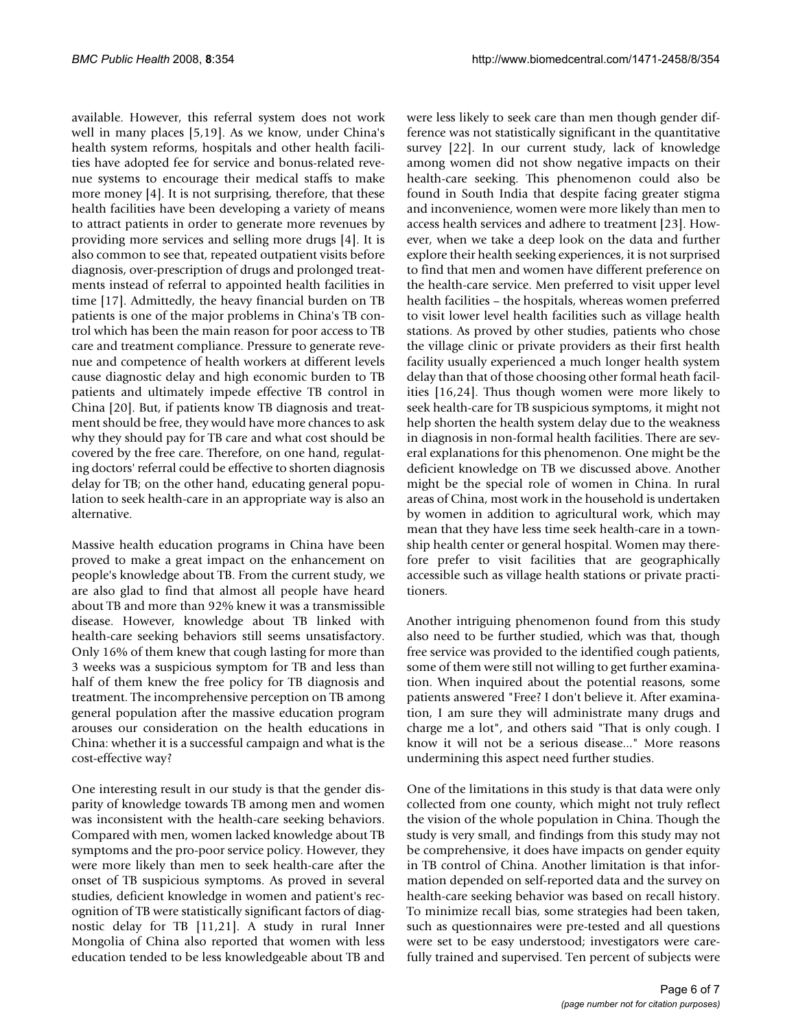available. However, this referral system does not work well in many places [5,19]. As we know, under China's health system reforms, hospitals and other health facilities have adopted fee for service and bonus-related revenue systems to encourage their medical staffs to make more money [4]. It is not surprising, therefore, that these health facilities have been developing a variety of means to attract patients in order to generate more revenues by providing more services and selling more drugs [4]. It is also common to see that, repeated outpatient visits before diagnosis, over-prescription of drugs and prolonged treatments instead of referral to appointed health facilities in time [17]. Admittedly, the heavy financial burden on TB patients is one of the major problems in China's TB control which has been the main reason for poor access to TB care and treatment compliance. Pressure to generate revenue and competence of health workers at different levels cause diagnostic delay and high economic burden to TB patients and ultimately impede effective TB control in China [20]. But, if patients know TB diagnosis and treatment should be free, they would have more chances to ask why they should pay for TB care and what cost should be covered by the free care. Therefore, on one hand, regulating doctors' referral could be effective to shorten diagnosis delay for TB; on the other hand, educating general population to seek health-care in an appropriate way is also an alternative.

Massive health education programs in China have been proved to make a great impact on the enhancement on people's knowledge about TB. From the current study, we are also glad to find that almost all people have heard about TB and more than 92% knew it was a transmissible disease. However, knowledge about TB linked with health-care seeking behaviors still seems unsatisfactory. Only 16% of them knew that cough lasting for more than 3 weeks was a suspicious symptom for TB and less than half of them knew the free policy for TB diagnosis and treatment. The incomprehensive perception on TB among general population after the massive education program arouses our consideration on the health educations in China: whether it is a successful campaign and what is the cost-effective way?

One interesting result in our study is that the gender disparity of knowledge towards TB among men and women was inconsistent with the health-care seeking behaviors. Compared with men, women lacked knowledge about TB symptoms and the pro-poor service policy. However, they were more likely than men to seek health-care after the onset of TB suspicious symptoms. As proved in several studies, deficient knowledge in women and patient's recognition of TB were statistically significant factors of diagnostic delay for TB [11,21]. A study in rural Inner Mongolia of China also reported that women with less education tended to be less knowledgeable about TB and

were less likely to seek care than men though gender difference was not statistically significant in the quantitative survey [22]. In our current study, lack of knowledge among women did not show negative impacts on their health-care seeking. This phenomenon could also be found in South India that despite facing greater stigma and inconvenience, women were more likely than men to access health services and adhere to treatment [23]. However, when we take a deep look on the data and further explore their health seeking experiences, it is not surprised to find that men and women have different preference on the health-care service. Men preferred to visit upper level health facilities – the hospitals, whereas women preferred to visit lower level health facilities such as village health stations. As proved by other studies, patients who chose the village clinic or private providers as their first health facility usually experienced a much longer health system delay than that of those choosing other formal heath facilities [16,24]. Thus though women were more likely to seek health-care for TB suspicious symptoms, it might not help shorten the health system delay due to the weakness in diagnosis in non-formal health facilities. There are several explanations for this phenomenon. One might be the deficient knowledge on TB we discussed above. Another might be the special role of women in China. In rural areas of China, most work in the household is undertaken by women in addition to agricultural work, which may mean that they have less time seek health-care in a township health center or general hospital. Women may therefore prefer to visit facilities that are geographically accessible such as village health stations or private practitioners.

Another intriguing phenomenon found from this study also need to be further studied, which was that, though free service was provided to the identified cough patients, some of them were still not willing to get further examination. When inquired about the potential reasons, some patients answered "Free? I don't believe it. After examination, I am sure they will administrate many drugs and charge me a lot", and others said "That is only cough. I know it will not be a serious disease..." More reasons undermining this aspect need further studies.

One of the limitations in this study is that data were only collected from one county, which might not truly reflect the vision of the whole population in China. Though the study is very small, and findings from this study may not be comprehensive, it does have impacts on gender equity in TB control of China. Another limitation is that information depended on self-reported data and the survey on health-care seeking behavior was based on recall history. To minimize recall bias, some strategies had been taken, such as questionnaires were pre-tested and all questions were set to be easy understood; investigators were carefully trained and supervised. Ten percent of subjects were